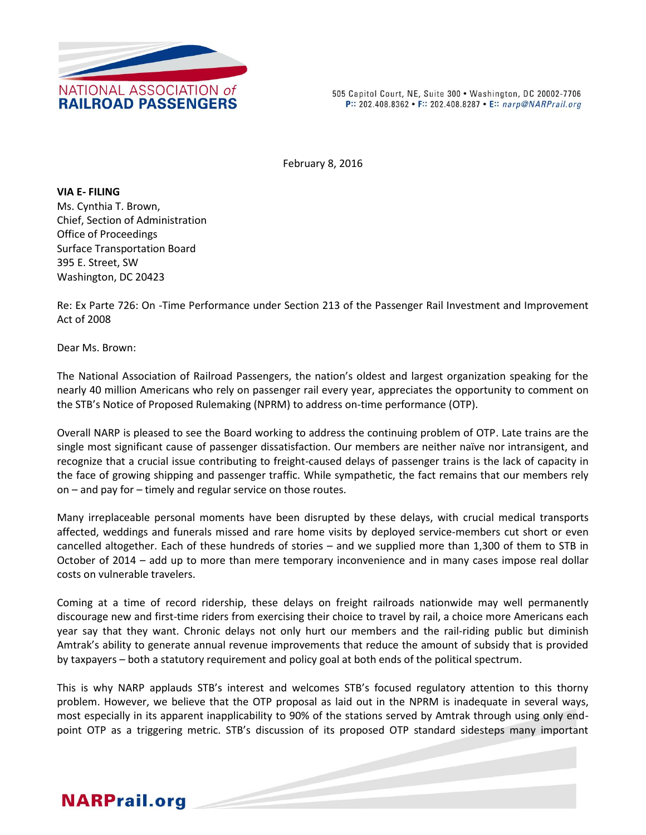

505 Capitol Court, NE, Suite 300 . Washington, DC 20002-7706 P:: 202.408.8362 • F:: 202.408.8287 • E:: narp@NARPrail.org

February 8, 2016

**VIA E- FILING** Ms. Cynthia T. Brown, Chief, Section of Administration Office of Proceedings Surface Transportation Board 395 E. Street, SW Washington, DC 20423

Re: Ex Parte 726: On -Time Performance under Section 213 of the Passenger Rail Investment and Improvement Act of 2008

Dear Ms. Brown:

The National Association of Railroad Passengers, the nation's oldest and largest organization speaking for the nearly 40 million Americans who rely on passenger rail every year, appreciates the opportunity to comment on the STB's Notice of Proposed Rulemaking (NPRM) to address on-time performance (OTP).

Overall NARP is pleased to see the Board working to address the continuing problem of OTP. Late trains are the single most significant cause of passenger dissatisfaction. Our members are neither naïve nor intransigent, and recognize that a crucial issue contributing to freight-caused delays of passenger trains is the lack of capacity in the face of growing shipping and passenger traffic. While sympathetic, the fact remains that our members rely on – and pay for – timely and regular service on those routes.

Many irreplaceable personal moments have been disrupted by these delays, with crucial medical transports affected, weddings and funerals missed and rare home visits by deployed service-members cut short or even cancelled altogether. Each of these hundreds of stories – and we supplied more than 1,300 of them to STB in October of 2014 – add up to more than mere temporary inconvenience and in many cases impose real dollar costs on vulnerable travelers.

Coming at a time of record ridership, these delays on freight railroads nationwide may well permanently discourage new and first-time riders from exercising their choice to travel by rail, a choice more Americans each year say that they want. Chronic delays not only hurt our members and the rail-riding public but diminish Amtrak's ability to generate annual revenue improvements that reduce the amount of subsidy that is provided by taxpayers – both a statutory requirement and policy goal at both ends of the political spectrum.

This is why NARP applauds STB's interest and welcomes STB's focused regulatory attention to this thorny problem. However, we believe that the OTP proposal as laid out in the NPRM is inadequate in several ways, most especially in its apparent inapplicability to 90% of the stations served by Amtrak through using only endpoint OTP as a triggering metric. STB's discussion of its proposed OTP standard sidesteps many important

# **NARPrail.org**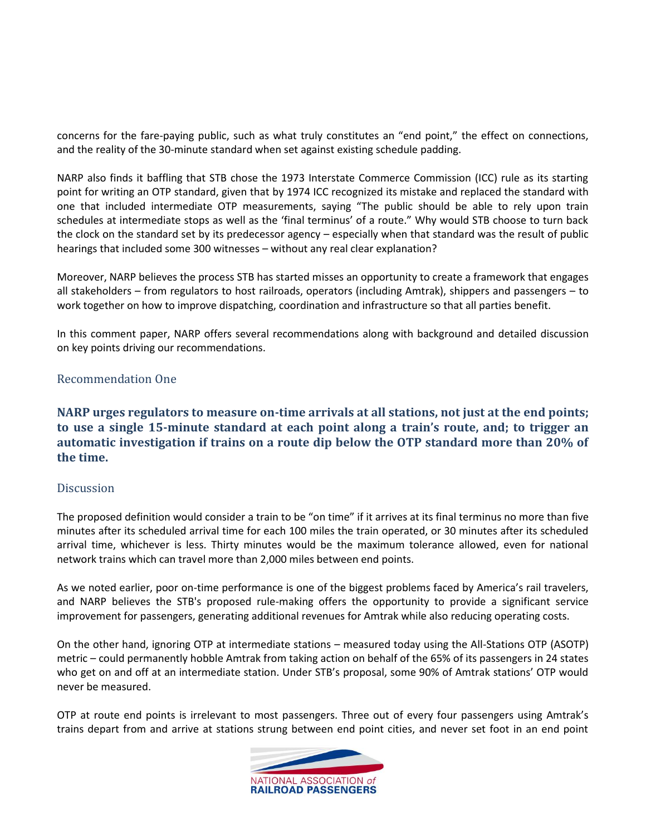concerns for the fare-paying public, such as what truly constitutes an "end point," the effect on connections, and the reality of the 30-minute standard when set against existing schedule padding.

NARP also finds it baffling that STB chose the 1973 Interstate Commerce Commission (ICC) rule as its starting point for writing an OTP standard, given that by 1974 ICC recognized its mistake and replaced the standard with one that included intermediate OTP measurements, saying "The public should be able to rely upon train schedules at intermediate stops as well as the 'final terminus' of a route." Why would STB choose to turn back the clock on the standard set by its predecessor agency – especially when that standard was the result of public hearings that included some 300 witnesses – without any real clear explanation?

Moreover, NARP believes the process STB has started misses an opportunity to create a framework that engages all stakeholders – from regulators to host railroads, operators (including Amtrak), shippers and passengers – to work together on how to improve dispatching, coordination and infrastructure so that all parties benefit.

In this comment paper, NARP offers several recommendations along with background and detailed discussion on key points driving our recommendations.

### Recommendation One

**NARP urges regulators to measure on-time arrivals at all stations, not just at the end points; to use a single 15-minute standard at each point along a train's route, and; to trigger an automatic investigation if trains on a route dip below the OTP standard more than 20% of the time.**

#### **Discussion**

The proposed definition would consider a train to be "on time" if it arrives at its final terminus no more than five minutes after its scheduled arrival time for each 100 miles the train operated, or 30 minutes after its scheduled arrival time, whichever is less. Thirty minutes would be the maximum tolerance allowed, even for national network trains which can travel more than 2,000 miles between end points.

As we noted earlier, poor on-time performance is one of the biggest problems faced by America's rail travelers, and NARP believes the STB's proposed rule-making offers the opportunity to provide a significant service improvement for passengers, generating additional revenues for Amtrak while also reducing operating costs.

On the other hand, ignoring OTP at intermediate stations – measured today using the All-Stations OTP (ASOTP) metric – could permanently hobble Amtrak from taking action on behalf of the 65% of its passengers in 24 states who get on and off at an intermediate station. Under STB's proposal, some 90% of Amtrak stations' OTP would never be measured.

OTP at route end points is irrelevant to most passengers. Three out of every four passengers using Amtrak's trains depart from and arrive at stations strung between end point cities, and never set foot in an end point

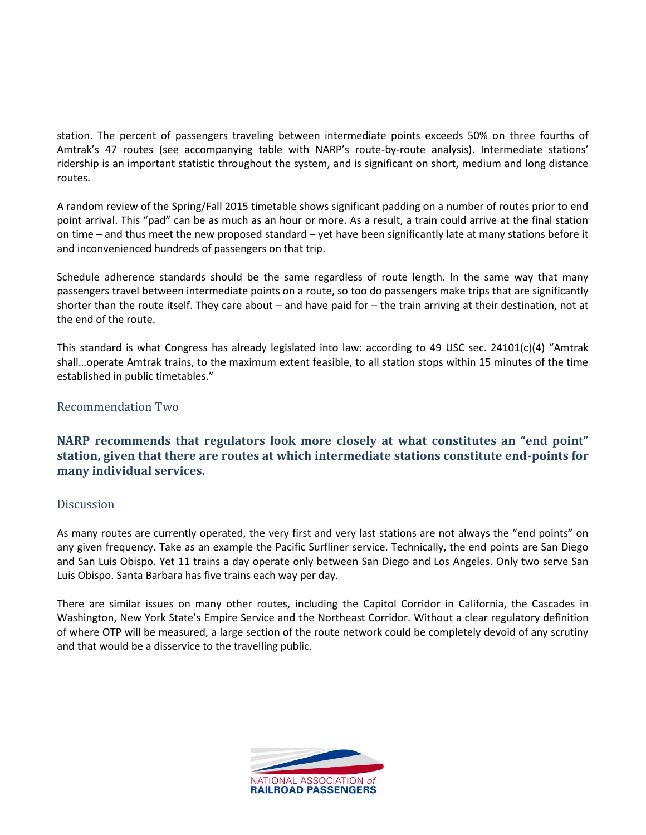station. The percent of passengers traveling between intermediate points exceeds 50% on three fourths of Amtrak's 47 routes (see accompanying table with NARP's route-by-route analysis). Intermediate stations' ridership is an important statistic throughout the system, and is significant on short, medium and long distance routes.

A random review of the Spring/Fall 2015 timetable shows significant padding on a number of routes prior to end point arrival. This "pad" can be as much as an hour or more. As a result, a train could arrive at the final station on time – and thus meet the new proposed standard – yet have been significantly late at many stations before it and inconvenienced hundreds of passengers on that trip.

Schedule adherence standards should be the same regardless of route length. In the same way that many passengers travel between intermediate points on a route, so too do passengers make trips that are significantly shorter than the route itself. They care about – and have paid for – the train arriving at their destination, not at the end of the route.

This standard is what Congress has already legislated into law: according to 49 USC sec. 24101(c)(4) "Amtrak shall…operate Amtrak trains, to the maximum extent feasible, to all station stops within 15 minutes of the time established in public timetables."

### Recommendation Two

**NARP recommends that regulators look more closely at what constitutes an "end point" station, given that there are routes at which intermediate stations constitute end-points for many individual services.**

### Discussion

As many routes are currently operated, the very first and very last stations are not always the "end points" on any given frequency. Take as an example the Pacific Surfliner service. Technically, the end points are San Diego and San Luis Obispo. Yet 11 trains a day operate only between San Diego and Los Angeles. Only two serve San Luis Obispo. Santa Barbara has five trains each way per day.

There are similar issues on many other routes, including the Capitol Corridor in California, the Cascades in Washington, New York State's Empire Service and the Northeast Corridor. Without a clear regulatory definition of where OTP will be measured, a large section of the route network could be completely devoid of any scrutiny and that would be a disservice to the travelling public.

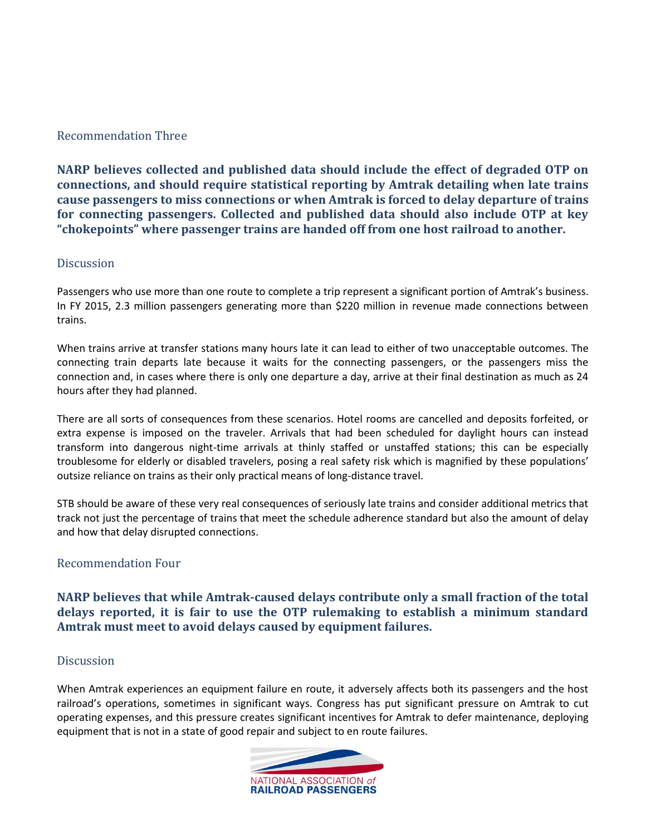## Recommendation Three

**NARP believes collected and published data should include the effect of degraded OTP on connections, and should require statistical reporting by Amtrak detailing when late trains cause passengers to miss connections or when Amtrak is forced to delay departure of trains for connecting passengers. Collected and published data should also include OTP at key "chokepoints" where passenger trains are handed off from one host railroad to another.**

### **Discussion**

Passengers who use more than one route to complete a trip represent a significant portion of Amtrak's business. In FY 2015, 2.3 million passengers generating more than \$220 million in revenue made connections between trains.

When trains arrive at transfer stations many hours late it can lead to either of two unacceptable outcomes. The connecting train departs late because it waits for the connecting passengers, or the passengers miss the connection and, in cases where there is only one departure a day, arrive at their final destination as much as 24 hours after they had planned.

There are all sorts of consequences from these scenarios. Hotel rooms are cancelled and deposits forfeited, or extra expense is imposed on the traveler. Arrivals that had been scheduled for daylight hours can instead transform into dangerous night-time arrivals at thinly staffed or unstaffed stations; this can be especially troublesome for elderly or disabled travelers, posing a real safety risk which is magnified by these populations' outsize reliance on trains as their only practical means of long-distance travel.

STB should be aware of these very real consequences of seriously late trains and consider additional metrics that track not just the percentage of trains that meet the schedule adherence standard but also the amount of delay and how that delay disrupted connections.

### Recommendation Four

**NARP believes that while Amtrak-caused delays contribute only a small fraction of the total delays reported, it is fair to use the OTP rulemaking to establish a minimum standard Amtrak must meet to avoid delays caused by equipment failures.**

### Discussion

When Amtrak experiences an equipment failure en route, it adversely affects both its passengers and the host railroad's operations, sometimes in significant ways. Congress has put significant pressure on Amtrak to cut operating expenses, and this pressure creates significant incentives for Amtrak to defer maintenance, deploying equipment that is not in a state of good repair and subject to en route failures.

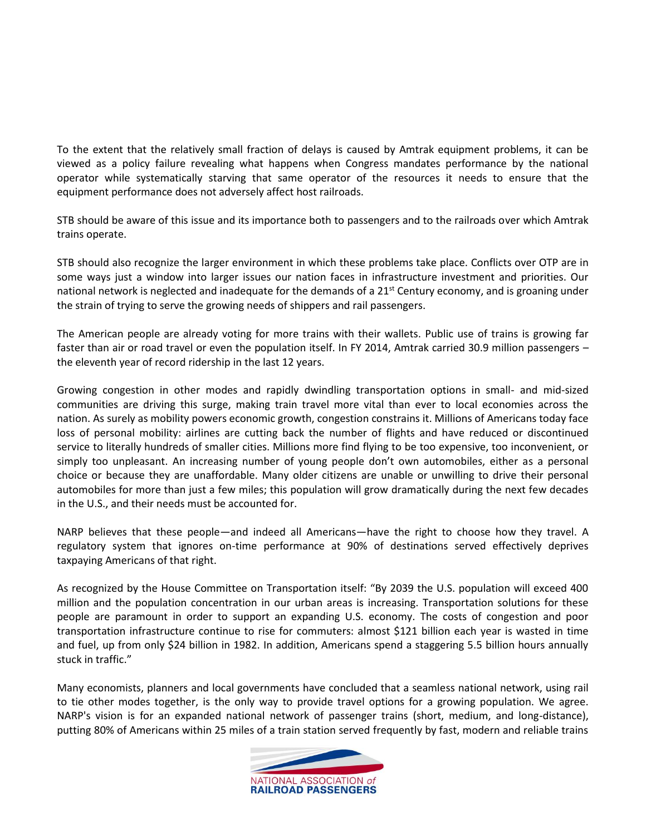To the extent that the relatively small fraction of delays is caused by Amtrak equipment problems, it can be viewed as a policy failure revealing what happens when Congress mandates performance by the national operator while systematically starving that same operator of the resources it needs to ensure that the equipment performance does not adversely affect host railroads.

STB should be aware of this issue and its importance both to passengers and to the railroads over which Amtrak trains operate.

STB should also recognize the larger environment in which these problems take place. Conflicts over OTP are in some ways just a window into larger issues our nation faces in infrastructure investment and priorities. Our national network is neglected and inadequate for the demands of a  $21^{st}$  Century economy, and is groaning under the strain of trying to serve the growing needs of shippers and rail passengers.

The American people are already voting for more trains with their wallets. Public use of trains is growing far faster than air or road travel or even the population itself. In FY 2014, Amtrak carried 30.9 million passengers – the eleventh year of record ridership in the last 12 years.

Growing congestion in other modes and rapidly dwindling transportation options in small- and mid-sized communities are driving this surge, making train travel more vital than ever to local economies across the nation. As surely as mobility powers economic growth, congestion constrains it. Millions of Americans today face loss of personal mobility: airlines are cutting back the number of flights and have reduced or discontinued service to literally hundreds of smaller cities. Millions more find flying to be too expensive, too inconvenient, or simply too unpleasant. An increasing number of young people don't own automobiles, either as a personal choice or because they are unaffordable. Many older citizens are unable or unwilling to drive their personal automobiles for more than just a few miles; this population will grow dramatically during the next few decades in the U.S., and their needs must be accounted for.

NARP believes that these people—and indeed all Americans—have the right to choose how they travel. A regulatory system that ignores on-time performance at 90% of destinations served effectively deprives taxpaying Americans of that right.

As recognized by the House Committee on Transportation itself: "By 2039 the U.S. population will exceed 400 million and the population concentration in our urban areas is increasing. Transportation solutions for these people are paramount in order to support an expanding U.S. economy. The costs of congestion and poor transportation infrastructure continue to rise for commuters: almost \$121 billion each year is wasted in time and fuel, up from only \$24 billion in 1982. In addition, Americans spend a staggering 5.5 billion hours annually stuck in traffic."

Many economists, planners and local governments have concluded that a seamless national network, using rail to tie other modes together, is the only way to provide travel options for a growing population. We agree. NARP's vision is for an expanded national network of passenger trains (short, medium, and long-distance), putting 80% of Americans within 25 miles of a train station served frequently by fast, modern and reliable trains